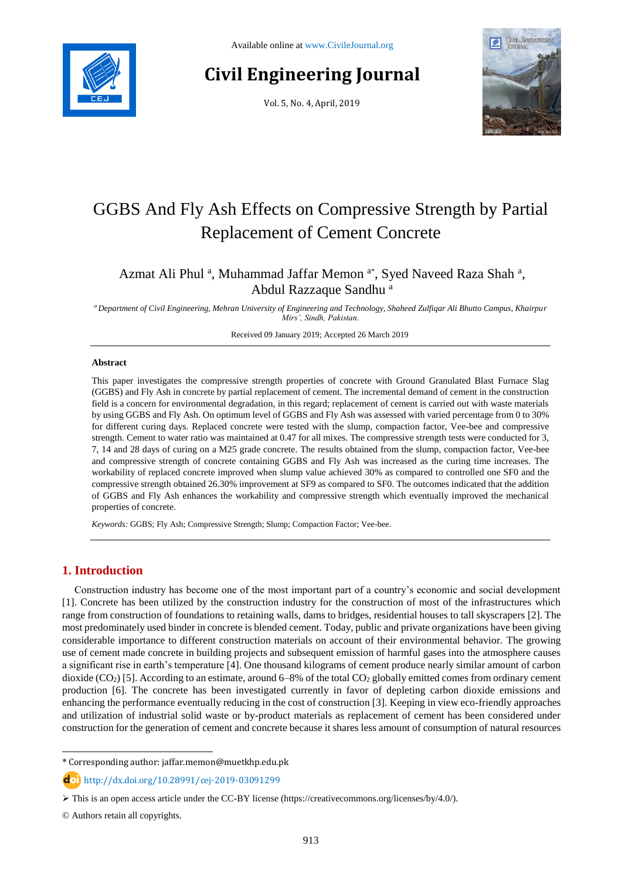

# **Civil Engineering Journal**

Vol. 5, No. 4, April, 2019



## GGBS And Fly Ash Effects on Compressive Strength by Partial Replacement of Cement Concrete

## Azmat Ali Phul<sup>a</sup>, Muhammad Jaffar Memon<sup>a\*</sup>, Syed Naveed Raza Shah<sup>a</sup>, Abdul Razzaque Sandhu <sup>a</sup>

*<sup>a</sup>Department of Civil Engineering, Mehran University of Engineering and Technology, Shaheed Zulfiqar Ali Bhutto Campus, Khairpur Mirs', Sindh, Pakistan.*

Received 09 January 2019; Accepted 26 March 2019

#### **Abstract**

This paper investigates the compressive strength properties of concrete with Ground Granulated Blast Furnace Slag (GGBS) and Fly Ash in concrete by partial replacement of cement. The incremental demand of cement in the construction field is a concern for environmental degradation, in this regard; replacement of cement is carried out with waste materials by using GGBS and Fly Ash. On optimum level of GGBS and Fly Ash was assessed with varied percentage from 0 to 30% for different curing days. Replaced concrete were tested with the slump, compaction factor, Vee-bee and compressive strength. Cement to water ratio was maintained at 0.47 for all mixes. The compressive strength tests were conducted for 3, 7, 14 and 28 days of curing on a M25 grade concrete. The results obtained from the slump, compaction factor, Vee-bee and compressive strength of concrete containing GGBS and Fly Ash was increased as the curing time increases. The workability of replaced concrete improved when slump value achieved 30% as compared to controlled one SF0 and the compressive strength obtained 26.30% improvement at SF9 as compared to SF0. The outcomes indicated that the addition of GGBS and Fly Ash enhances the workability and compressive strength which eventually improved the mechanical properties of concrete.

*Keywords:* GGBS; Fly Ash; Compressive Strength; Slump; Compaction Factor; Vee-bee.

## **1. Introduction**

Construction industry has become one of the most important part of a country's economic and social development [1]. Concrete has been utilized by the construction industry for the construction of most of the infrastructures which range from construction of foundations to retaining walls, dams to bridges, residential houses to tall skyscrapers [2]. The most predominately used binder in concrete is blended cement. Today, public and private organizations have been giving considerable importance to different construction materials on account of their environmental behavior. The growing use of cement made concrete in building projects and subsequent emission of harmful gases into the atmosphere causes a significant rise in earth's temperature [4]. One thousand kilograms of cement produce nearly similar amount of carbon dioxide (CO<sub>2</sub>) [5]. According to an estimate, around 6–8% of the total CO<sub>2</sub> globally emitted comes from ordinary cement production [6]. The concrete has been investigated currently in favor of depleting carbon dioxide emissions and enhancing the performance eventually reducing in the cost of construction [3]. Keeping in view eco-friendly approaches and utilization of industrial solid waste or by-product materials as replacement of cement has been considered under construction for the generation of cement and concrete because it shares less amount of consumption of natural resources

l

<sup>\*</sup> Corresponding author: jaffar.memon@muetkhp.edu.pk

http://dx.doi.org/10.28991/cej-2019-03091299

This is an open access article under the CC-BY license [\(https://creativecommons.org/licenses/by/4.0/\)](https://creativecommons.org/licenses/by/4.0/).

<sup>©</sup> Authors retain all copyrights.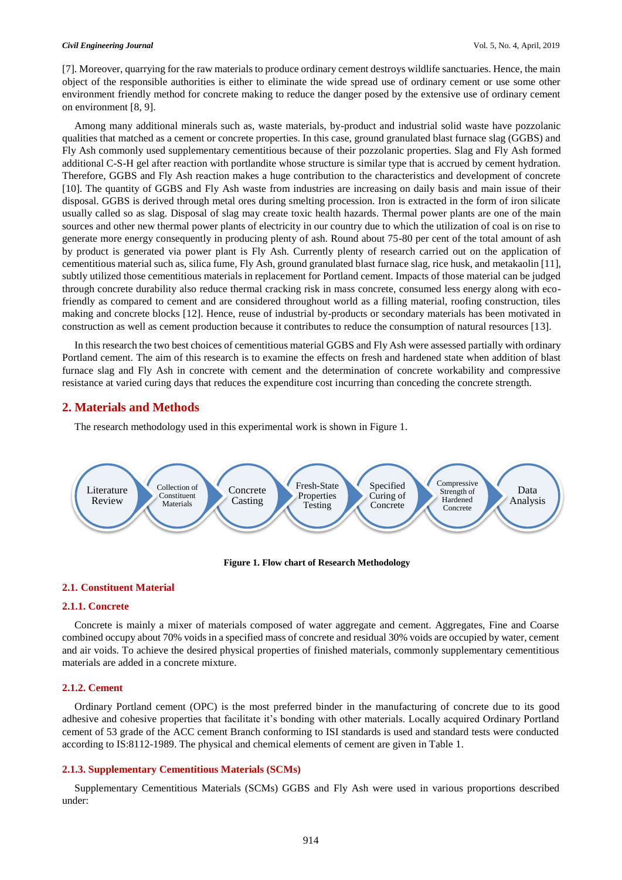#### *Civil Engineering Journal* Vol. 5, No. 4, April, 2019

[7]. Moreover, quarrying for the raw materials to produce ordinary cement destroys wildlife sanctuaries. Hence, the main object of the responsible authorities is either to eliminate the wide spread use of ordinary cement or use some other environment friendly method for concrete making to reduce the danger posed by the extensive use of ordinary cement on environment [8, 9].

Among many additional minerals such as, waste materials, by-product and industrial solid waste have pozzolanic qualities that matched as a cement or concrete properties. In this case, ground granulated blast furnace slag (GGBS) and Fly Ash commonly used supplementary cementitious because of their pozzolanic properties. Slag and Fly Ash formed additional C-S-H gel after reaction with portlandite whose structure is similar type that is accrued by cement hydration. Therefore, GGBS and Fly Ash reaction makes a huge contribution to the characteristics and development of concrete [10]. The quantity of GGBS and Fly Ash waste from industries are increasing on daily basis and main issue of their disposal. GGBS is derived through metal ores during smelting procession. Iron is extracted in the form of iron silicate usually called so as slag. Disposal of slag may create toxic health hazards. Thermal power plants are one of the main sources and other new thermal power plants of electricity in our country due to which the utilization of coal is on rise to generate more energy consequently in producing plenty of ash. Round about 75-80 per cent of the total amount of ash by product is generated via power plant is Fly Ash. Currently plenty of research carried out on the application of cementitious material such as, silica fume, Fly Ash, ground granulated blast furnace slag, rice husk, and metakaolin [11], subtly utilized those cementitious materials in replacement for Portland cement. Impacts of those material can be judged through concrete durability also reduce thermal cracking risk in mass concrete, consumed less energy along with ecofriendly as compared to cement and are considered throughout world as a filling material, roofing construction, tiles making and concrete blocks [12]. Hence, reuse of industrial by-products or secondary materials has been motivated in construction as well as cement production because it contributes to reduce the consumption of natural resources [13].

In this research the two best choices of cementitious material GGBS and Fly Ash were assessed partially with ordinary Portland cement. The aim of this research is to examine the effects on fresh and hardened state when addition of blast furnace slag and Fly Ash in concrete with cement and the determination of concrete workability and compressive resistance at varied curing days that reduces the expenditure cost incurring than conceding the concrete strength.

## **2. Materials and Methods**

The research methodology used in this experimental work is shown in Figure 1.



**Figure 1. Flow chart of Research Methodology**

## **2.1. Constituent Material**

#### **2.1.1. Concrete**

Concrete is mainly a mixer of materials composed of water aggregate and cement. Aggregates, Fine and Coarse combined occupy about 70% voids in a specified mass of concrete and residual 30% voids are occupied by water, cement and air voids. To achieve the desired physical properties of finished materials, commonly supplementary cementitious materials are added in a concrete mixture.

#### **2.1.2. Cement**

Ordinary Portland cement (OPC) is the most preferred binder in the manufacturing of concrete due to its good adhesive and cohesive properties that facilitate it's bonding with other materials. Locally acquired Ordinary Portland cement of 53 grade of the ACC cement Branch conforming to ISI standards is used and standard tests were conducted according to IS:8112-1989. The physical and chemical elements of cement are given in Table 1.

#### **2.1.3. Supplementary Cementitious Materials (SCMs)**

Supplementary Cementitious Materials (SCMs) GGBS and Fly Ash were used in various proportions described under: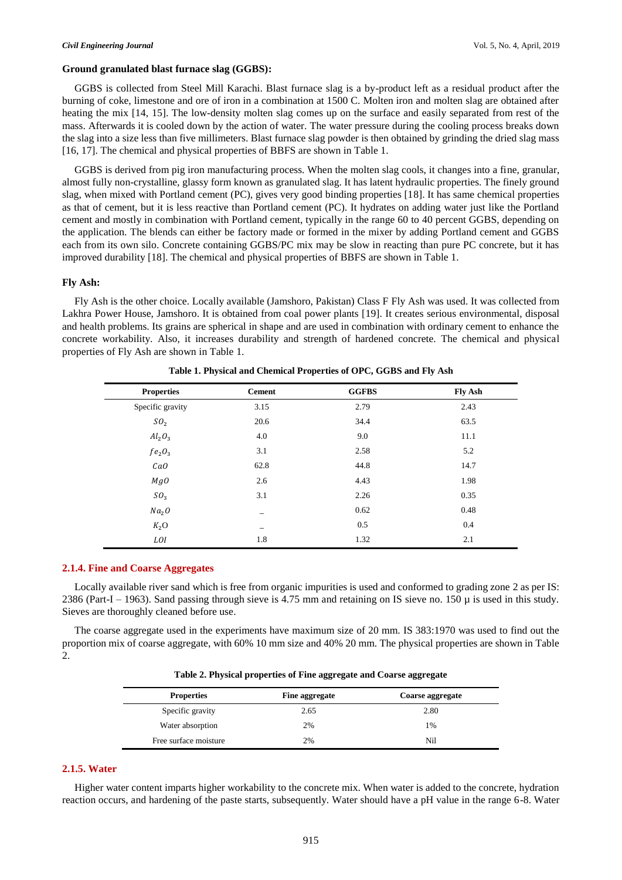#### **Ground granulated blast furnace slag (GGBS):**

GGBS is collected from Steel Mill Karachi. Blast furnace slag is a by-product left as a residual product after the burning of coke, limestone and ore of iron in a combination at 1500 C. Molten iron and molten slag are obtained after heating the mix [14, 15]. The low-density molten slag comes up on the surface and easily separated from rest of the mass. Afterwards it is cooled down by the action of water. The water pressure during the cooling process breaks down the slag into a size less than five millimeters. Blast furnace slag powder is then obtained by grinding the dried slag mass [16, 17]. The chemical and physical properties of BBFS are shown in Table 1.

GGBS is derived from pig iron manufacturing process. When the molten slag cools, it changes into a fine, granular, almost fully non-crystalline, glassy form known as granulated slag. It has latent hydraulic properties. The finely ground slag, when mixed with Portland cement (PC), gives very good binding properties [18]. It has same chemical properties as that of cement, but it is less reactive than Portland cement (PC). It hydrates on adding water just like the Portland cement and mostly in combination with Portland cement, typically in the range 60 to 40 percent GGBS, depending on the application. The blends can either be factory made or formed in the mixer by adding Portland cement and GGBS each from its own silo. Concrete containing GGBS/PC mix may be slow in reacting than pure PC concrete, but it has improved durability [18]. The chemical and physical properties of BBFS are shown in Table 1.

#### **Fly Ash:**

Fly Ash is the other choice. Locally available (Jamshoro, Pakistan) Class F Fly Ash was used. It was collected from Lakhra Power House, Jamshoro. It is obtained from coal power plants [19]. It creates serious environmental, disposal and health problems. Its grains are spherical in shape and are used in combination with ordinary cement to enhance the concrete workability. Also, it increases durability and strength of hardened concrete. The chemical and physical properties of Fly Ash are shown in Table 1.

| <b>Properties</b> | <b>Cement</b>            | <b>GGFBS</b> | <b>Fly Ash</b> |
|-------------------|--------------------------|--------------|----------------|
| Specific gravity  | 3.15                     | 2.79         | 2.43           |
| SO <sub>2</sub>   | 20.6                     | 34.4         | 63.5           |
| $Al_2O_3$         | 4.0                      | 9.0          | 11.1           |
| $fe_2O_3$         | 3.1                      | 2.58         | 5.2            |
| $\it CaO$         | 62.8                     | 44.8         | 14.7           |
| MgO               | 2.6                      | 4.43         | 1.98           |
| $SO_3$            | 3.1                      | 2.26         | 0.35           |
| Na <sub>2</sub> O |                          | 0.62         | 0.48           |
| $K_2$ O           | $\overline{\phantom{0}}$ | 0.5          | 0.4            |
| LOI               | 1.8                      | 1.32         | 2.1            |

**Table 1. Physical and Chemical Properties of OPC, GGBS and Fly Ash**

#### **2.1.4. Fine and Coarse Aggregates**

Locally available river sand which is free from organic impurities is used and conformed to grading zone 2 as per IS: 2386 (Part-I – 1963). Sand passing through sieve is 4.75 mm and retaining on IS sieve no. 150  $\mu$  is used in this study. Sieves are thoroughly cleaned before use.

The coarse aggregate used in the experiments have maximum size of 20 mm. IS 383:1970 was used to find out the proportion mix of coarse aggregate, with 60% 10 mm size and 40% 20 mm. The physical properties are shown in Table 2.

|  |  |  | Table 2. Physical properties of Fine aggregate and Coarse aggregate |
|--|--|--|---------------------------------------------------------------------|
|  |  |  |                                                                     |

| <b>Properties</b>     | Fine aggregate | Coarse aggregate |
|-----------------------|----------------|------------------|
| Specific gravity      | 2.65           | 2.80             |
| Water absorption      | 2%             | 1%               |
| Free surface moisture | 2%             | Nil              |

#### **2.1.5. Water**

Higher water content imparts higher workability to the concrete mix. When water is added to the concrete, hydration reaction occurs, and hardening of the paste starts, subsequently. Water should have a pH value in the range 6-8. Water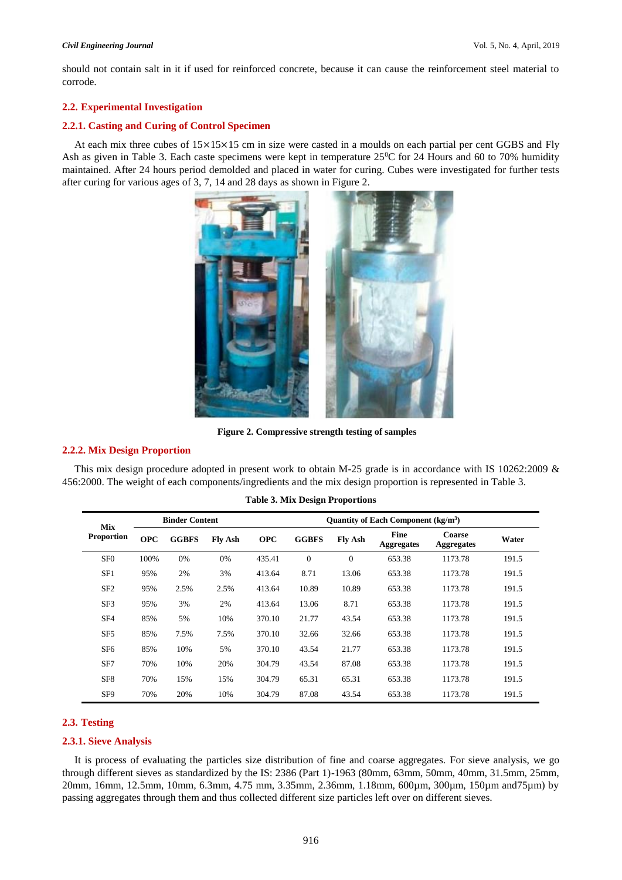should not contain salt in it if used for reinforced concrete, because it can cause the reinforcement steel material to corrode.

## **2.2. Experimental Investigation**

#### **2.2.1. Casting and Curing of Control Specimen**

At each mix three cubes of 15×15×15 cm in size were casted in a moulds on each partial per cent GGBS and Fly Ash as given in Table 3. Each caste specimens were kept in temperature  $25^{\circ}$ C for 24 Hours and 60 to 70% humidity maintained. After 24 hours period demolded and placed in water for curing. Cubes were investigated for further tests after curing for various ages of 3, 7, 14 and 28 days as shown in Figure 2.



**Figure 2. Compressive strength testing of samples**

#### **2.2.2. Mix Design Proportion**

This mix design procedure adopted in present work to obtain M-25 grade is in accordance with IS 10262:2009 & 456:2000. The weight of each components/ingredients and the mix design proportion is represented in Table 3.

| <b>Mix</b>        | <b>Binder Content</b> |              |                | Quantity of Each Component $(kg/m3)$ |              |                |                                  |                             |       |
|-------------------|-----------------------|--------------|----------------|--------------------------------------|--------------|----------------|----------------------------------|-----------------------------|-------|
| <b>Proportion</b> | <b>OPC</b>            | <b>GGBFS</b> | <b>Fly Ash</b> | <b>OPC</b>                           | <b>GGBFS</b> | <b>Fly Ash</b> | <b>Fine</b><br><b>Aggregates</b> | Coarse<br><b>Aggregates</b> | Water |
| SF <sub>0</sub>   | 100%                  | 0%           | 0%             | 435.41                               | $\mathbf{0}$ | $\overline{0}$ | 653.38                           | 1173.78                     | 191.5 |
| SF1               | 95%                   | 2%           | 3%             | 413.64                               | 8.71         | 13.06          | 653.38                           | 1173.78                     | 191.5 |
| SF <sub>2</sub>   | 95%                   | 2.5%         | 2.5%           | 413.64                               | 10.89        | 10.89          | 653.38                           | 1173.78                     | 191.5 |
| SF <sub>3</sub>   | 95%                   | 3%           | 2%             | 413.64                               | 13.06        | 8.71           | 653.38                           | 1173.78                     | 191.5 |
| SF4               | 85%                   | 5%           | 10%            | 370.10                               | 21.77        | 43.54          | 653.38                           | 1173.78                     | 191.5 |
| SF <sub>5</sub>   | 85%                   | 7.5%         | 7.5%           | 370.10                               | 32.66        | 32.66          | 653.38                           | 1173.78                     | 191.5 |
| SF <sub>6</sub>   | 85%                   | 10%          | 5%             | 370.10                               | 43.54        | 21.77          | 653.38                           | 1173.78                     | 191.5 |
| SF7               | 70%                   | 10%          | 20%            | 304.79                               | 43.54        | 87.08          | 653.38                           | 1173.78                     | 191.5 |
| SF <sub>8</sub>   | 70%                   | 15%          | 15%            | 304.79                               | 65.31        | 65.31          | 653.38                           | 1173.78                     | 191.5 |
| SF <sub>9</sub>   | 70%                   | 20%          | 10%            | 304.79                               | 87.08        | 43.54          | 653.38                           | 1173.78                     | 191.5 |

#### **Table 3. Mix Design Proportions**

## **2.3. Testing**

#### **2.3.1. Sieve Analysis**

It is process of evaluating the particles size distribution of fine and coarse aggregates. For sieve analysis, we go through different sieves as standardized by the IS: 2386 (Part 1)-1963 (80mm, 63mm, 50mm, 40mm, 31.5mm, 25mm, 20mm, 16mm, 12.5mm, 10mm, 6.3mm, 4.75 mm, 3.35mm, 2.36mm, 1.18mm, 600µm, 300µm, 150µm and75µm) by passing aggregates through them and thus collected different size particles left over on different sieves.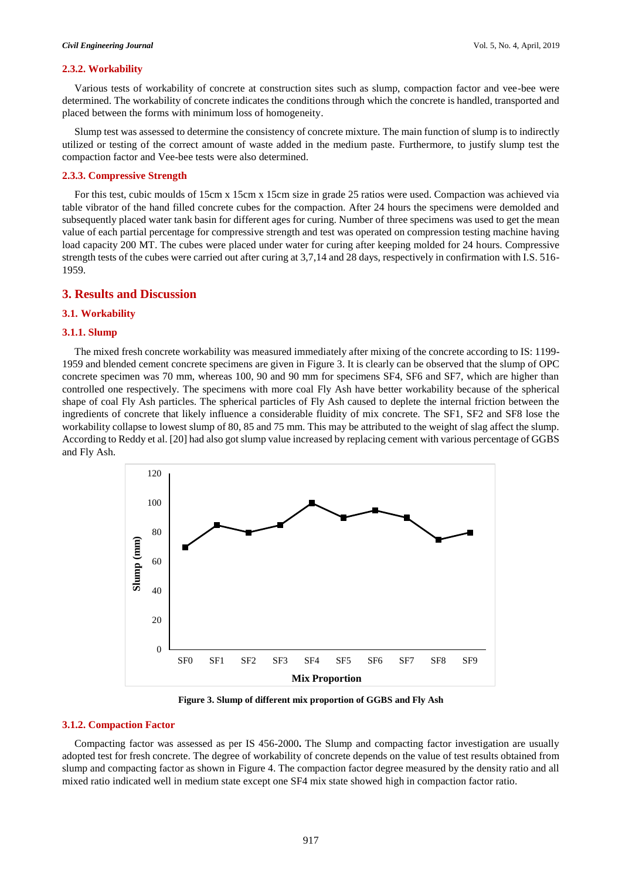#### **2.3.2. Workability**

Various tests of workability of concrete at construction sites such as slump, compaction factor and vee-bee were determined. The workability of concrete indicates the conditions through which the concrete is handled, transported and placed between the forms with minimum loss of homogeneity.

Slump test was assessed to determine the consistency of concrete mixture. The main function of slump is to indirectly utilized or testing of the correct amount of waste added in the medium paste. Furthermore, to justify slump test the compaction factor and Vee-bee tests were also determined.

## **2.3.3. Compressive Strength**

For this test, cubic moulds of 15cm x 15cm x 15cm size in grade 25 ratios were used. Compaction was achieved via table vibrator of the hand filled concrete cubes for the compaction. After 24 hours the specimens were demolded and subsequently placed water tank basin for different ages for curing. Number of three specimens was used to get the mean value of each partial percentage for compressive strength and test was operated on compression testing machine having load capacity 200 MT. The cubes were placed under water for curing after keeping molded for 24 hours. Compressive strength tests of the cubes were carried out after curing at 3,7,14 and 28 days, respectively in confirmation with I.S. 516- 1959.

## **3. Results and Discussion**

## **3.1. Workability**

#### **3.1.1. Slump**

The mixed fresh concrete workability was measured immediately after mixing of the concrete according to IS: 1199- 1959 and blended cement concrete specimens are given in Figure 3. It is clearly can be observed that the slump of OPC concrete specimen was 70 mm, whereas 100, 90 and 90 mm for specimens SF4, SF6 and SF7, which are higher than controlled one respectively. The specimens with more coal Fly Ash have better workability because of the spherical shape of coal Fly Ash particles. The spherical particles of Fly Ash caused to deplete the internal friction between the ingredients of concrete that likely influence a considerable fluidity of mix concrete. The SF1, SF2 and SF8 lose the workability collapse to lowest slump of 80, 85 and 75 mm. This may be attributed to the weight of slag affect the slump. According to Reddy et al. [20] had also got slump value increased by replacing cement with various percentage of GGBS and Fly Ash.



**Figure 3. Slump of different mix proportion of GGBS and Fly Ash**

## **3.1.2. Compaction Factor**

Compacting factor was assessed as per IS 456-2000**.** The Slump and compacting factor investigation are usually adopted test for fresh concrete. The degree of workability of concrete depends on the value of test results obtained from slump and compacting factor as shown in Figure 4. The compaction factor degree measured by the density ratio and all mixed ratio indicated well in medium state except one SF4 mix state showed high in compaction factor ratio.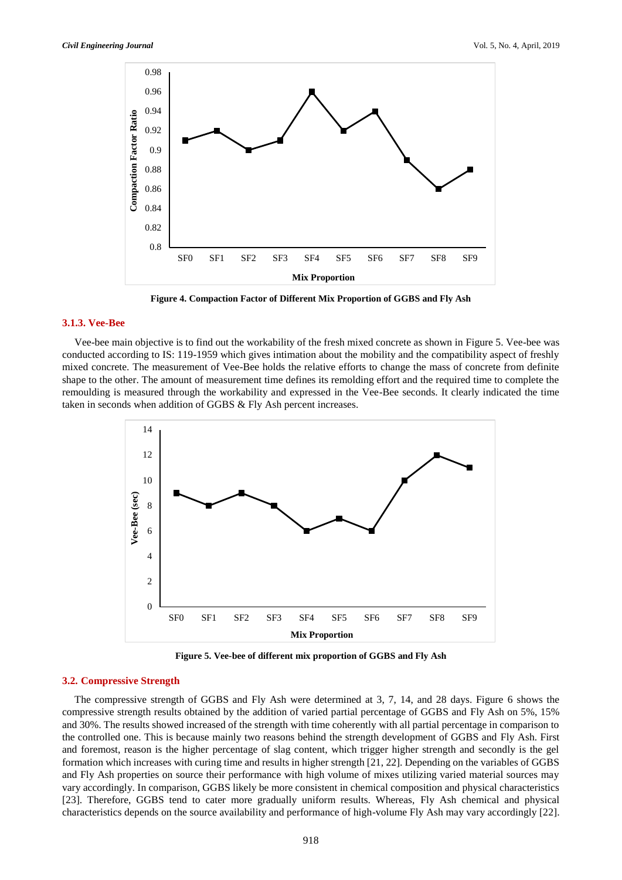

**Figure 4. Compaction Factor of Different Mix Proportion of GGBS and Fly Ash**

#### **3.1.3. Vee-Bee**

Vee-bee main objective is to find out the workability of the fresh mixed concrete as shown in Figure 5. Vee-bee was conducted according to IS: 119-1959 which gives intimation about the mobility and the compatibility aspect of freshly mixed concrete. The measurement of Vee-Bee holds the relative efforts to change the mass of concrete from definite shape to the other. The amount of measurement time defines its remolding effort and the required time to complete the remoulding is measured through the workability and expressed in the Vee-Bee seconds. It clearly indicated the time taken in seconds when addition of GGBS & Fly Ash percent increases.



**Figure 5. Vee-bee of different mix proportion of GGBS and Fly Ash**

### **3.2. Compressive Strength**

The compressive strength of GGBS and Fly Ash were determined at 3, 7, 14, and 28 days. Figure 6 shows the compressive strength results obtained by the addition of varied partial percentage of GGBS and Fly Ash on 5%, 15% and 30%. The results showed increased of the strength with time coherently with all partial percentage in comparison to the controlled one. This is because mainly two reasons behind the strength development of GGBS and Fly Ash. First and foremost, reason is the higher percentage of slag content, which trigger higher strength and secondly is the gel formation which increases with curing time and results in higher strength [21, 22]. Depending on the variables of GGBS and Fly Ash properties on source their performance with high volume of mixes utilizing varied material sources may vary accordingly. In comparison, GGBS likely be more consistent in chemical composition and physical characteristics [23]. Therefore, GGBS tend to cater more gradually uniform results. Whereas, Fly Ash chemical and physical characteristics depends on the source availability and performance of high-volume Fly Ash may vary accordingly [22].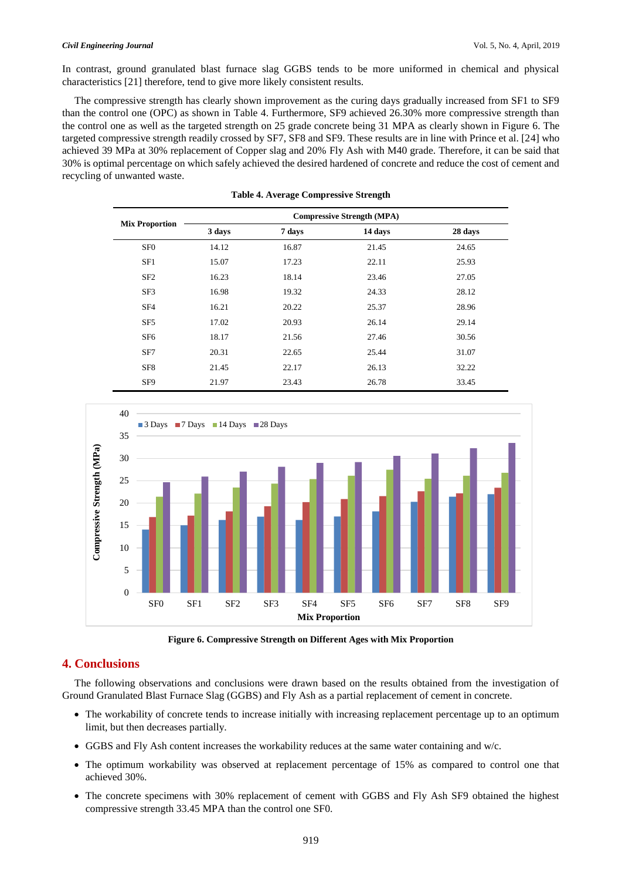#### *Civil Engineering Journal* Vol. 5, No. 4, April, 2019

In contrast, ground granulated blast furnace slag GGBS tends to be more uniformed in chemical and physical characteristics [21] therefore, tend to give more likely consistent results.

The compressive strength has clearly shown improvement as the curing days gradually increased from SF1 to SF9 than the control one (OPC) as shown in Table 4. Furthermore, SF9 achieved 26.30% more compressive strength than the control one as well as the targeted strength on 25 grade concrete being 31 MPA as clearly shown in Figure 6. The targeted compressive strength readily crossed by SF7, SF8 and SF9. These results are in line with Prince et al. [24] who achieved 39 MPa at 30% replacement of Copper slag and 20% Fly Ash with M40 grade. Therefore, it can be said that 30% is optimal percentage on which safely achieved the desired hardened of concrete and reduce the cost of cement and recycling of unwanted waste.

|                       | <b>Compressive Strength (MPA)</b> |        |         |         |  |  |  |
|-----------------------|-----------------------------------|--------|---------|---------|--|--|--|
| <b>Mix Proportion</b> | 3 days                            | 7 days | 14 days | 28 days |  |  |  |
| SF <sub>0</sub>       | 14.12                             | 16.87  | 21.45   | 24.65   |  |  |  |
| SF1                   | 15.07                             | 17.23  | 22.11   | 25.93   |  |  |  |
| SF <sub>2</sub>       | 16.23                             | 18.14  | 23.46   | 27.05   |  |  |  |
| SF <sub>3</sub>       | 16.98                             | 19.32  | 24.33   | 28.12   |  |  |  |
| SF <sub>4</sub>       | 16.21                             | 20.22  | 25.37   | 28.96   |  |  |  |
| SF <sub>5</sub>       | 17.02                             | 20.93  | 26.14   | 29.14   |  |  |  |
| SF <sub>6</sub>       | 18.17                             | 21.56  | 27.46   | 30.56   |  |  |  |
| SF7                   | 20.31                             | 22.65  | 25.44   | 31.07   |  |  |  |
| SF <sub>8</sub>       | 21.45                             | 22.17  | 26.13   | 32.22   |  |  |  |
| SF9                   | 21.97                             | 23.43  | 26.78   | 33.45   |  |  |  |

**Table 4. Average Compressive Strength**



**Figure 6. Compressive Strength on Different Ages with Mix Proportion**

## **4. Conclusions**

The following observations and conclusions were drawn based on the results obtained from the investigation of Ground Granulated Blast Furnace Slag (GGBS) and Fly Ash as a partial replacement of cement in concrete.

- The workability of concrete tends to increase initially with increasing replacement percentage up to an optimum limit, but then decreases partially.
- GGBS and Fly Ash content increases the workability reduces at the same water containing and w/c.
- The optimum workability was observed at replacement percentage of 15% as compared to control one that achieved 30%.
- The concrete specimens with 30% replacement of cement with GGBS and Fly Ash SF9 obtained the highest compressive strength 33.45 MPA than the control one SF0.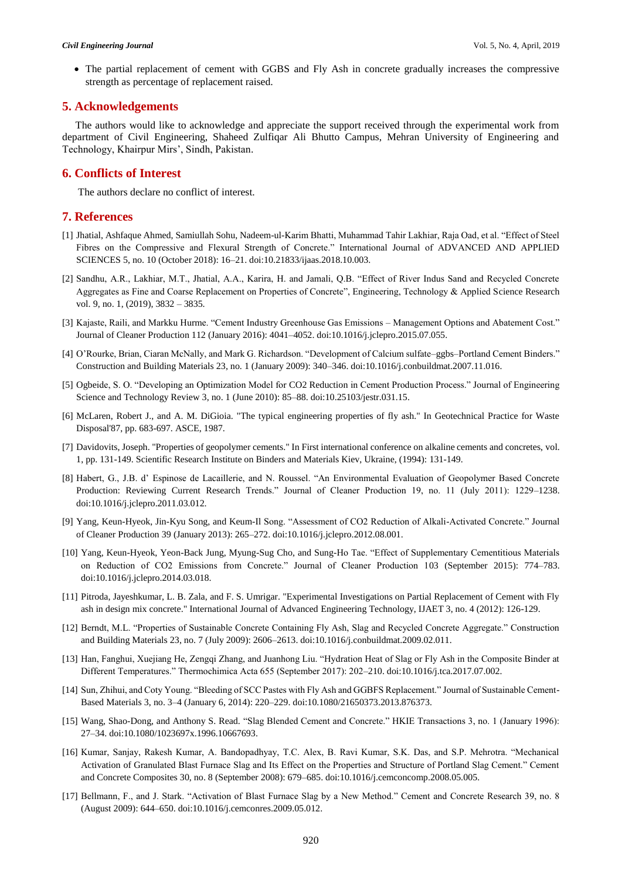• The partial replacement of cement with GGBS and Fly Ash in concrete gradually increases the compressive strength as percentage of replacement raised.

## **5. Acknowledgements**

The authors would like to acknowledge and appreciate the support received through the experimental work from department of Civil Engineering, Shaheed Zulfiqar Ali Bhutto Campus, Mehran University of Engineering and Technology, Khairpur Mirs', Sindh, Pakistan.

## **6. Conflicts of Interest**

The authors declare no conflict of interest.

## **7. References**

- [1] Jhatial, Ashfaque Ahmed, Samiullah Sohu, Nadeem-ul-Karim Bhatti, Muhammad Tahir Lakhiar, Raja Oad, et al. "Effect of Steel Fibres on the Compressive and Flexural Strength of Concrete." International Journal of ADVANCED AND APPLIED SCIENCES 5, no. 10 (October 2018): 16–21. doi:10.21833/ijaas.2018.10.003.
- [2] Sandhu, A.R., Lakhiar, M.T., Jhatial, A.A., Karira, H. and Jamali, Q.B. "Effect of River Indus Sand and Recycled Concrete Aggregates as Fine and Coarse Replacement on Properties of Concrete", Engineering, Technology & Applied Science Research vol. 9, no. 1, (2019), 3832 – 3835.
- [3] Kajaste, Raili, and Markku Hurme. "Cement Industry Greenhouse Gas Emissions Management Options and Abatement Cost." Journal of Cleaner Production 112 (January 2016): 4041–4052. doi:10.1016/j.jclepro.2015.07.055.
- [4] O'Rourke, Brian, Ciaran McNally, and Mark G. Richardson. "Development of Calcium sulfate–ggbs–Portland Cement Binders." Construction and Building Materials 23, no. 1 (January 2009): 340–346. doi:10.1016/j.conbuildmat.2007.11.016.
- [5] Ogbeide, S. O. "Developing an Optimization Model for CO2 Reduction in Cement Production Process." Journal of Engineering Science and Technology Review 3, no. 1 (June 2010): 85–88. doi:10.25103/jestr.031.15.
- [6] McLaren, Robert J., and A. M. DiGioia. "The typical engineering properties of fly ash." In Geotechnical Practice for Waste Disposal'87, pp. 683-697. ASCE, 1987.
- [7] Davidovits, Joseph. "Properties of geopolymer cements." In First international conference on alkaline cements and concretes, vol. 1, pp. 131-149. Scientific Research Institute on Binders and Materials Kiev, Ukraine, (1994): 131-149.
- [8] Habert, G., J.B. d' Espinose de Lacaillerie, and N. Roussel. "An Environmental Evaluation of Geopolymer Based Concrete Production: Reviewing Current Research Trends." Journal of Cleaner Production 19, no. 11 (July 2011): 1229–1238. doi:10.1016/j.jclepro.2011.03.012.
- [9] Yang, Keun-Hyeok, Jin-Kyu Song, and Keum-Il Song. "Assessment of CO2 Reduction of Alkali-Activated Concrete." Journal of Cleaner Production 39 (January 2013): 265–272. doi:10.1016/j.jclepro.2012.08.001.
- [10] Yang, Keun-Hyeok, Yeon-Back Jung, Myung-Sug Cho, and Sung-Ho Tae. "Effect of Supplementary Cementitious Materials on Reduction of CO2 Emissions from Concrete." Journal of Cleaner Production 103 (September 2015): 774–783. doi:10.1016/j.jclepro.2014.03.018.
- [11] Pitroda, Jayeshkumar, L. B. Zala, and F. S. Umrigar. "Experimental Investigations on Partial Replacement of Cement with Fly ash in design mix concrete." International Journal of Advanced Engineering Technology, IJAET 3, no. 4 (2012): 126-129.
- [12] Berndt, M.L. "Properties of Sustainable Concrete Containing Fly Ash, Slag and Recycled Concrete Aggregate." Construction and Building Materials 23, no. 7 (July 2009): 2606–2613. doi:10.1016/j.conbuildmat.2009.02.011.
- [13] Han, Fanghui, Xuejiang He, Zengqi Zhang, and Juanhong Liu. "Hydration Heat of Slag or Fly Ash in the Composite Binder at Different Temperatures." Thermochimica Acta 655 (September 2017): 202–210. doi:10.1016/j.tca.2017.07.002.
- [14] Sun, Zhihui, and Coty Young. "Bleeding of SCC Pastes with Fly Ash and GGBFS Replacement." Journal of Sustainable Cement-Based Materials 3, no. 3–4 (January 6, 2014): 220–229. doi:10.1080/21650373.2013.876373.
- [15] Wang, Shao-Dong, and Anthony S. Read. "Slag Blended Cement and Concrete." HKIE Transactions 3, no. 1 (January 1996): 27–34. doi:10.1080/1023697x.1996.10667693.
- [16] Kumar, Sanjay, Rakesh Kumar, A. Bandopadhyay, T.C. Alex, B. Ravi Kumar, S.K. Das, and S.P. Mehrotra. "Mechanical Activation of Granulated Blast Furnace Slag and Its Effect on the Properties and Structure of Portland Slag Cement." Cement and Concrete Composites 30, no. 8 (September 2008): 679–685. doi:10.1016/j.cemconcomp.2008.05.005.
- [17] Bellmann, F., and J. Stark. "Activation of Blast Furnace Slag by a New Method." Cement and Concrete Research 39, no. 8 (August 2009): 644–650. doi:10.1016/j.cemconres.2009.05.012.